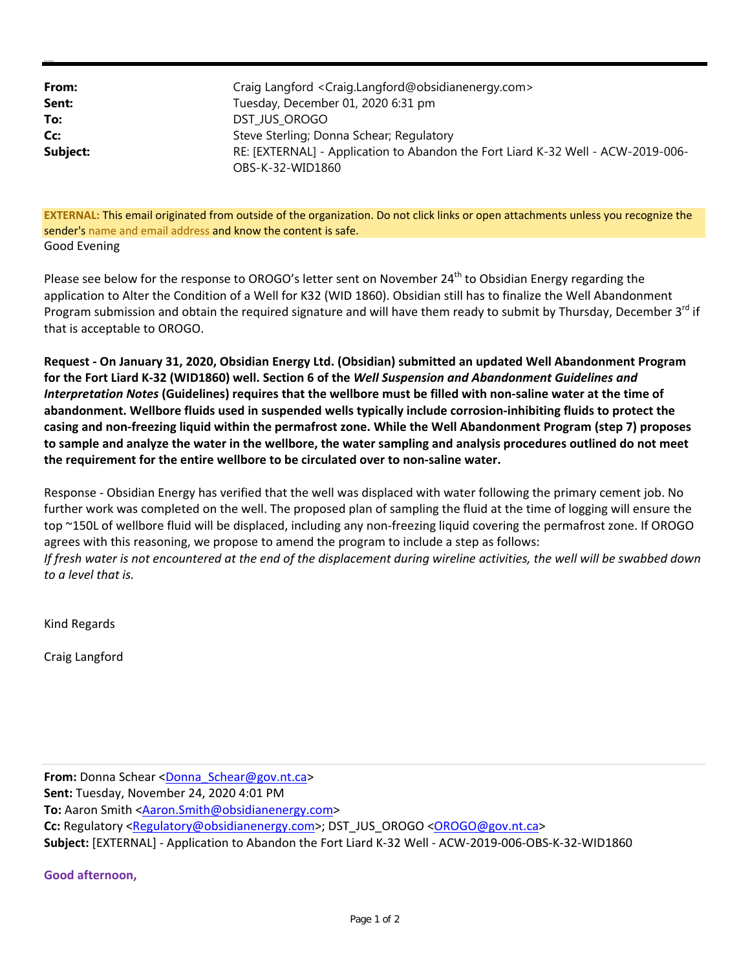| From:    | Craig Langford <craig.langford@obsidianenergy.com></craig.langford@obsidianenergy.com> |
|----------|----------------------------------------------------------------------------------------|
| Sent:    | Tuesday, December 01, 2020 6:31 pm                                                     |
| To:      | DST JUS OROGO                                                                          |
| Cc:      | Steve Sterling; Donna Schear; Regulatory                                               |
| Subject: | RE: [EXTERNAL] - Application to Abandon the Fort Liard K-32 Well - ACW-2019-006-       |
|          | OBS-K-32-WID1860                                                                       |

**EXTERNAL:** This email originated from outside of the organization. Do not click links or open attachments unless you recognize the sender's name and email address and know the content is safe. Good Evening

Please see below for the response to OROGO's letter sent on November 24<sup>th</sup> to Obsidian Energy regarding the application to Alter the Condition of a Well for K32 (WID 1860). Obsidian still has to finalize the Well Abandonment Program submission and obtain the required signature and will have them ready to submit by Thursday, December 3<sup>rd</sup> if that is acceptable to OROGO.

**Request ‐ On January 31, 2020, Obsidian Energy Ltd. (Obsidian) submitted an updated Well Abandonment Program** for the Fort Liard K-32 (WID1860) well. Section 6 of the Well Suspension and Abandonment Guidelines and Interpretation Notes (Guidelines) requires that the wellbore must be filled with non-saline water at the time of abandonment. Wellbore fluids used in suspended wells typically include corrosion-inhibiting fluids to protect the casing and non-freezing liquid within the permafrost zone. While the Well Abandonment Program (step 7) proposes to sample and analyze the water in the wellbore, the water sampling and analysis procedures outlined do not meet **the requirement for the entire wellbore to be circulated over to non‐saline water.**

Response ‐ Obsidian Energy has verified that the well was displaced with water following the primary cement job. No further work was completed on the well. The proposed plan of sampling the fluid at the time of logging will ensure the top ~150L of wellbore fluid will be displaced, including any non-freezing liquid covering the permafrost zone. If OROGO agrees with this reasoning, we propose to amend the program to include a step as follows: If fresh water is not encountered at the end of the displacement during wireline activities, the well will be swabbed down *to a level that is.*

Kind Regards

**Kristen Cameron**

Craig Langford

**From:** Donna Schear <Donna\_Schear@gov.nt.ca> **Sent:** Tuesday, November 24, 2020 4:01 PM **To:** Aaron Smith <Aaron.Smith@obsidianenergy.com> **Cc:** Regulatory <Regulatory@obsidianenergy.com>; DST\_JUS\_OROGO <OROGO@gov.nt.ca> **Subject:** [EXTERNAL] ‐ Application to Abandon the Fort Liard K‐32 Well ‐ ACW‐2019‐006‐OBS‐K‐32‐WID1860

## **Good afternoon,**